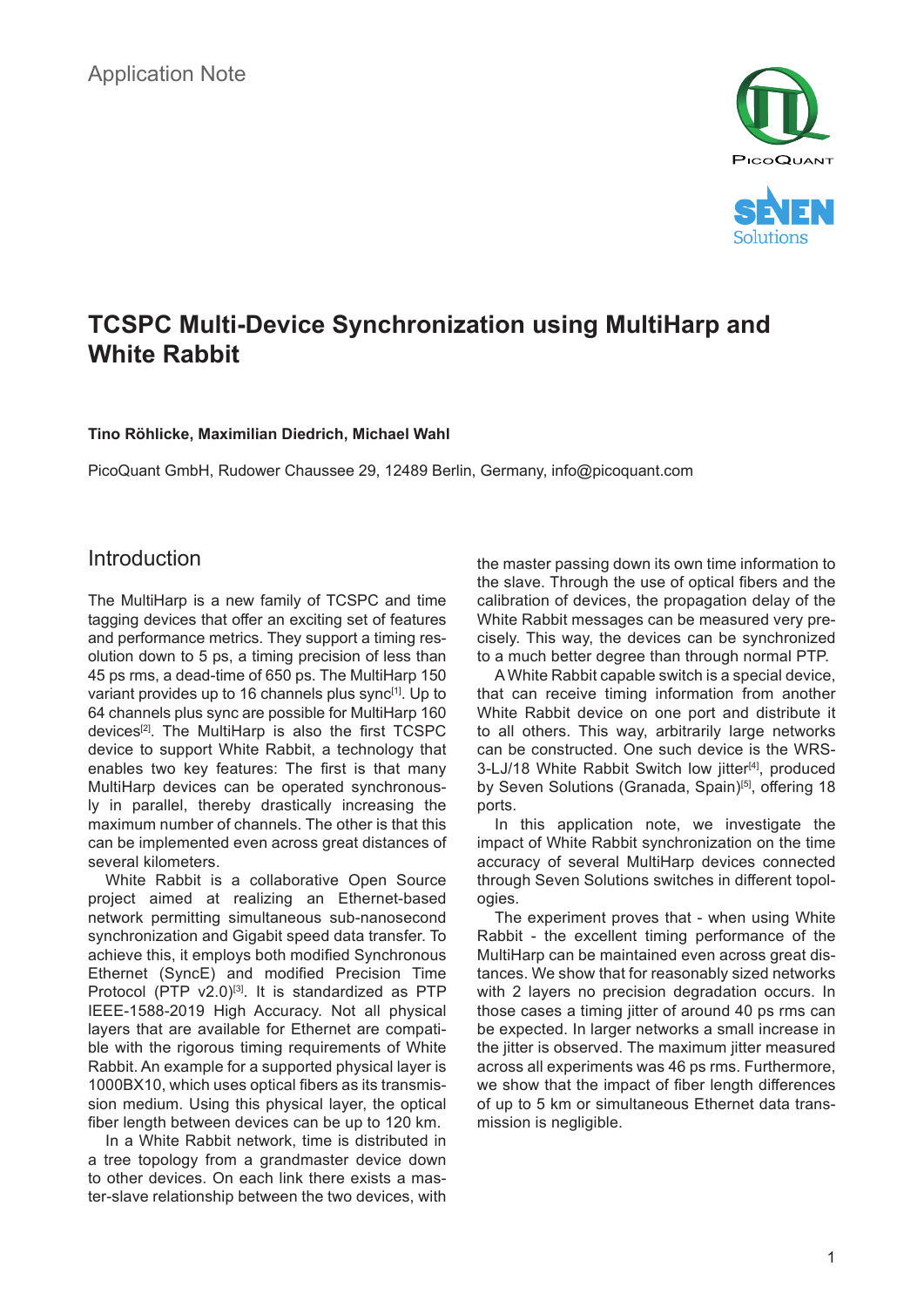



# **TCSPC Multi-Device Synchronization using MultiHarp and White Rabbit**

#### **Tino Röhlicke, Maximilian Diedrich, Michael Wahl**

PicoQuant GmbH, Rudower Chaussee 29, 12489 Berlin, Germany, info@picoquant.com

#### Introduction

The MultiHarp is a new family of TCSPC and time tagging devices that offer an exciting set of features and performance metrics. They support a timing resolution down to 5 ps, a timing precision of less than 45 ps rms, a dead-time of 650 ps. The MultiHarp 150 variant provides up to 16 channels plus sync<sup>[1]</sup>. Up to 64 channels plus sync are possible for MultiHarp 160 devices[2]. The MultiHarp is also the first TCSPC device to support White Rabbit, a technology that enables two key features: The first is that many MultiHarp devices can be operated synchronously in parallel, thereby drastically increasing the maximum number of channels. The other is that this can be implemented even across great distances of several kilometers.

White Rabbit is a collaborative Open Source project aimed at realizing an Ethernet-based network permitting simultaneous sub-nanosecond synchronization and Gigabit speed data transfer. To achieve this, it employs both modified Synchronous Ethernet (SyncE) and modified Precision Time Protocol (PTP v2.0)<sup>[3]</sup>. It is standardized as PTP IEEE-1588-2019 High Accuracy. Not all physical layers that are available for Ethernet are compatible with the rigorous timing requirements of White Rabbit. An example for a supported physical layer is 1000BX10, which uses optical fibers as its transmission medium. Using this physical layer, the optical fiber length between devices can be up to 120 km.

In a White Rabbit network, time is distributed in a tree topology from a grandmaster device down to other devices. On each link there exists a master-slave relationship between the two devices, with the master passing down its own time information to the slave. Through the use of optical fibers and the calibration of devices, the propagation delay of the White Rabbit messages can be measured very precisely. This way, the devices can be synchronized to a much better degree than through normal PTP.

A White Rabbit capable switch is a special device, that can receive timing information from another White Rabbit device on one port and distribute it to all others. This way, arbitrarily large networks can be constructed. One such device is the WRS-3-LJ/18 White Rabbit Switch low jitter<sup>[4]</sup>, produced by Seven Solutions (Granada, Spain)<sup>[5]</sup>, offering 18 ports.

In this application note, we investigate the impact of White Rabbit synchronization on the time accuracy of several MultiHarp devices connected through Seven Solutions switches in different topologies.

The experiment proves that - when using White Rabbit - the excellent timing performance of the MultiHarp can be maintained even across great distances. We show that for reasonably sized networks with 2 layers no precision degradation occurs. In those cases a timing jitter of around 40 ps rms can be expected. In larger networks a small increase in the jitter is observed. The maximum jitter measured across all experiments was 46 ps rms. Furthermore, we show that the impact of fiber length differences of up to 5 km or simultaneous Ethernet data transmission is negligible.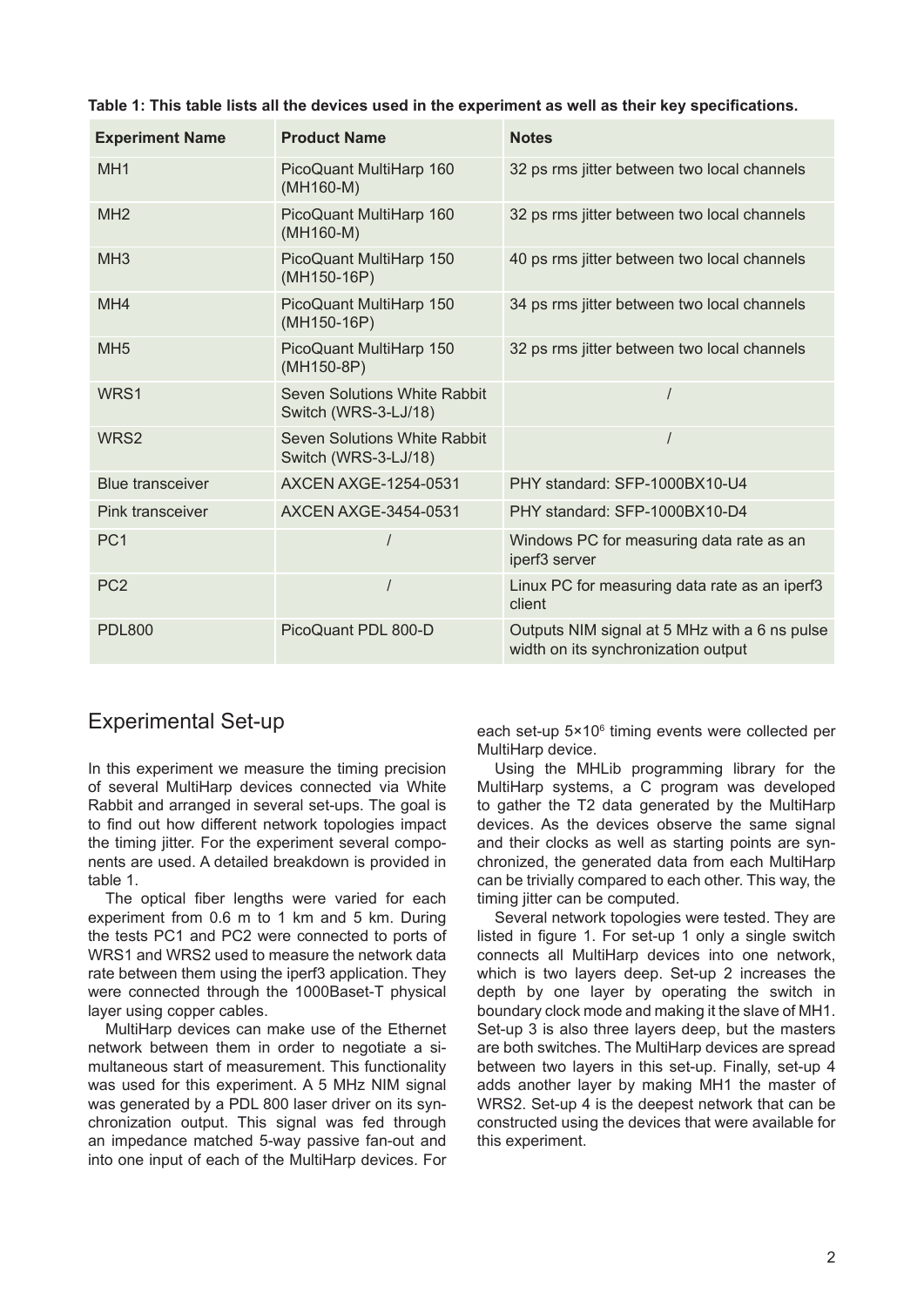| <b>Experiment Name</b>  | <b>Product Name</b>                                  | <b>Notes</b>                                                                         |
|-------------------------|------------------------------------------------------|--------------------------------------------------------------------------------------|
| MH <sub>1</sub>         | PicoQuant MultiHarp 160<br>(MH160-M)                 | 32 ps rms jitter between two local channels                                          |
| MH <sub>2</sub>         | PicoQuant MultiHarp 160<br>(MH160-M)                 | 32 ps rms jitter between two local channels                                          |
| MH <sub>3</sub>         | PicoQuant MultiHarp 150<br>$(MH150-16P)$             | 40 ps rms jitter between two local channels                                          |
| MH4                     | PicoQuant MultiHarp 150<br>(MH150-16P)               | 34 ps rms jitter between two local channels                                          |
| MH <sub>5</sub>         | PicoQuant MultiHarp 150<br>(MH150-8P)                | 32 ps rms jitter between two local channels                                          |
| WRS1                    | Seven Solutions White Rabbit<br>Switch (WRS-3-LJ/18) |                                                                                      |
| WRS <sub>2</sub>        | Seven Solutions White Rabbit<br>Switch (WRS-3-LJ/18) |                                                                                      |
| <b>Blue transceiver</b> | <b>AXCEN AXGE-1254-0531</b>                          | PHY standard: SFP-1000BX10-U4                                                        |
| Pink transceiver        | <b>AXCEN AXGE-3454-0531</b>                          | PHY standard: SFP-1000BX10-D4                                                        |
| PC <sub>1</sub>         |                                                      | Windows PC for measuring data rate as an<br>iperf3 server                            |
| PC <sub>2</sub>         |                                                      | Linux PC for measuring data rate as an iperf3<br>client                              |
| <b>PDL800</b>           | PicoQuant PDL 800-D                                  | Outputs NIM signal at 5 MHz with a 6 ns pulse<br>width on its synchronization output |

## Experimental Set-up

In this experiment we measure the timing precision of several MultiHarp devices connected via White Rabbit and arranged in several set-ups. The goal is to find out how different network topologies impact the timing jitter. For the experiment several components are used. A detailed breakdown is provided in table 1.

The optical fiber lengths were varied for each experiment from 0.6 m to 1 km and 5 km. During the tests PC1 and PC2 were connected to ports of WRS1 and WRS2 used to measure the network data rate between them using the iperf3 application. They were connected through the 1000Baset-T physical layer using copper cables.

MultiHarp devices can make use of the Ethernet network between them in order to negotiate a simultaneous start of measurement. This functionality was used for this experiment. A 5 MHz NIM signal was generated by a PDL 800 laser driver on its synchronization output. This signal was fed through an impedance matched 5-way passive fan-out and into one input of each of the MultiHarp devices. For

each set-up 5×10<sup>6</sup> timing events were collected per MultiHarp device.

Using the MHLib programming library for the MultiHarp systems, a C program was developed to gather the T2 data generated by the MultiHarp devices. As the devices observe the same signal and their clocks as well as starting points are synchronized, the generated data from each MultiHarp can be trivially compared to each other. This way, the timing jitter can be computed.

Several network topologies were tested. They are listed in figure 1. For set-up 1 only a single switch connects all MultiHarp devices into one network, which is two layers deep. Set-up 2 increases the depth by one layer by operating the switch in boundary clock mode and making it the slave of MH1. Set-up 3 is also three layers deep, but the masters are both switches. The MultiHarp devices are spread between two layers in this set-up. Finally, set-up 4 adds another layer by making MH1 the master of WRS2. Set-up 4 is the deepest network that can be constructed using the devices that were available for this experiment.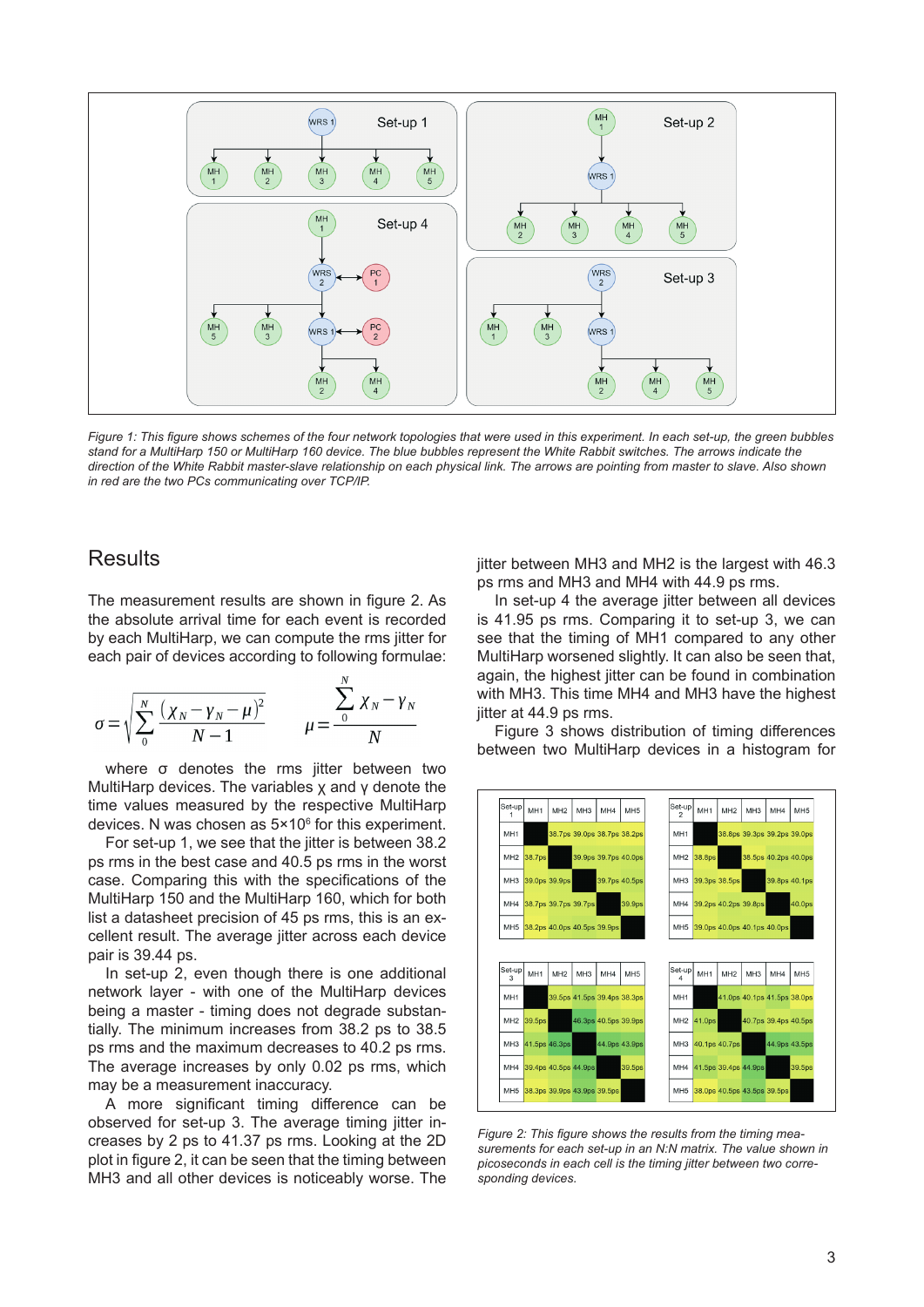

*Figure 1: This figure shows schemes of the four network topologies that were used in this experiment. In each set-up, the green bubbles stand for a MultiHarp 150 or MultiHarp 160 device. The blue bubbles represent the White Rabbit switches. The arrows indicate the direction of the White Rabbit master-slave relationship on each physical link. The arrows are pointing from master to slave. Also shown in red are the two PCs communicating over TCP/IP.*

#### **Results**

The measurement results are shown in figure 2. As the absolute arrival time for each event is recorded by each MultiHarp, we can compute the rms jitter for each pair of devices according to following formulae:

$$
\sigma = \sqrt{\sum_{0}^{N} \frac{(\chi_{N} - \gamma_{N} - \mu)^{2}}{N - 1}} \qquad \mu = \frac{\sum_{0}^{N} \chi_{N} - \gamma_{N}}{N}
$$

where σ denotes the rms jitter between two MultiHarp devices. The variables χ and γ denote the time values measured by the respective MultiHarp devices. N was chosen as 5×10 $^{\rm 6}$  for this experiment.

For set-up 1, we see that the jitter is between 38.2 ps rms in the best case and 40.5 ps rms in the worst case. Comparing this with the specifications of the MultiHarp 150 and the MultiHarp 160, which for both list a datasheet precision of 45 ps rms, this is an excellent result. The average jitter across each device pair is 39.44 ps.

In set-up 2, even though there is one additional network layer - with one of the MultiHarp devices being a master - timing does not degrade substantially. The minimum increases from 38.2 ps to 38.5 ps rms and the maximum decreases to 40.2 ps rms. The average increases by only 0.02 ps rms, which may be a measurement inaccuracy.

A more significant timing difference can be observed for set-up 3. The average timing jitter increases by 2 ps to 41.37 ps rms. Looking at the 2D plot in figure 2, it can be seen that the timing between MH3 and all other devices is noticeably worse. The

jitter between MH3 and MH2 is the largest with 46.3 ps rms and MH3 and MH4 with 44.9 ps rms.

In set-up 4 the average jitter between all devices is 41.95 ps rms. Comparing it to set-up 3, we can see that the timing of MH1 compared to any other MultiHarp worsened slightly. It can also be seen that, again, the highest jitter can be found in combination with MH3. This time MH4 and MH3 have the highest jitter at 44.9 ps rms.

Figure 3 shows distribution of timing differences between two MultiHarp devices in a histogram for



*Figure 2: This figure shows the results from the timing measurements for each set-up in an N:N matrix. The value shown in picoseconds in each cell is the timing jitter between two corresponding devices.*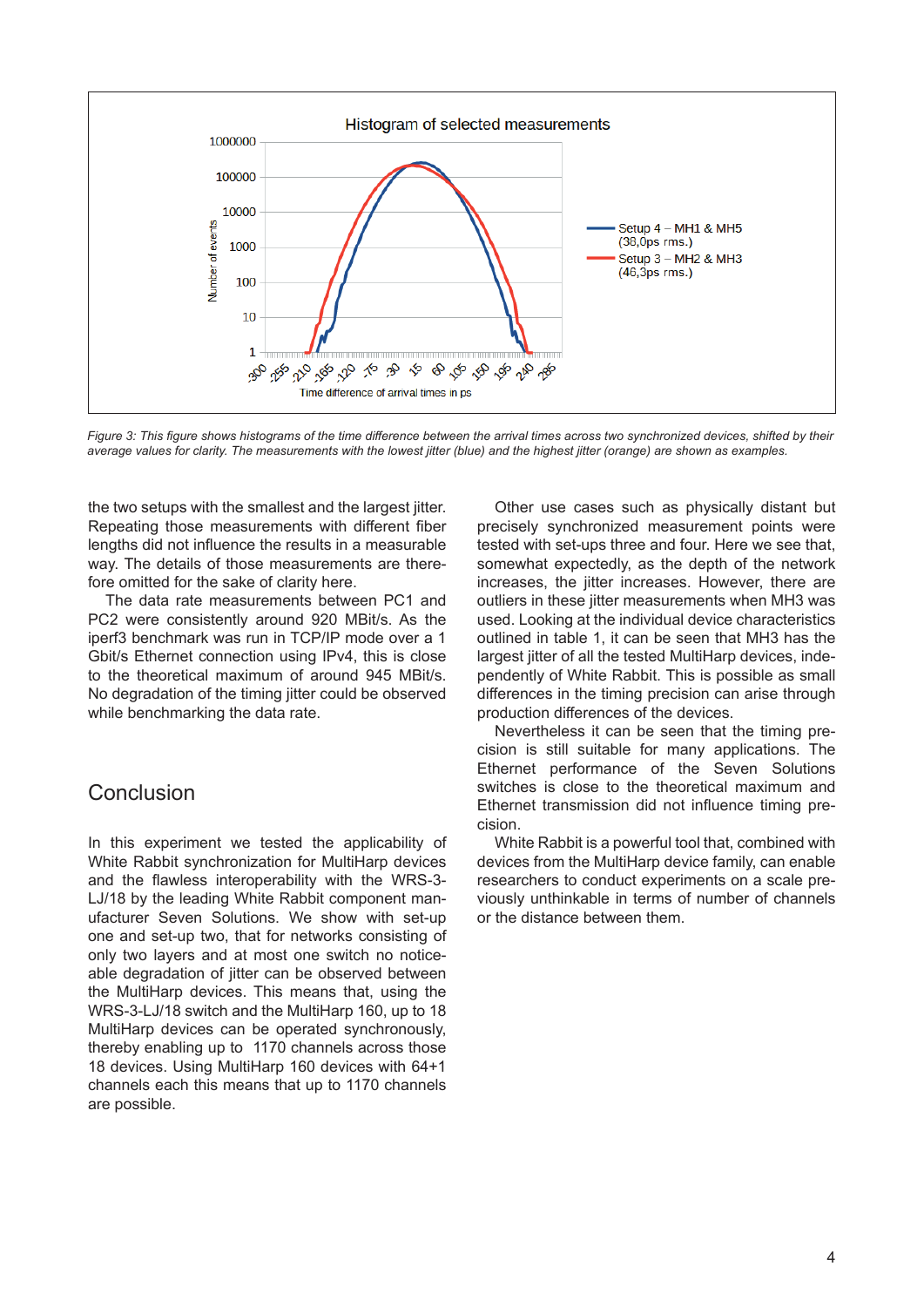

*Figure 3: This figure shows histograms of the time difference between the arrival times across two synchronized devices, shifted by their average values for clarity. The measurements with the lowest jitter (blue) and the highest jitter (orange) are shown as examples.*

the two setups with the smallest and the largest jitter. Repeating those measurements with different fiber lengths did not influence the results in a measurable way. The details of those measurements are therefore omitted for the sake of clarity here.

The data rate measurements between PC1 and PC2 were consistently around 920 MBit/s. As the iperf3 benchmark was run in TCP/IP mode over a 1 Gbit/s Ethernet connection using IPv4, this is close to the theoretical maximum of around 945 MBit/s. No degradation of the timing jitter could be observed while benchmarking the data rate.

#### Conclusion

In this experiment we tested the applicability of White Rabbit synchronization for MultiHarp devices and the flawless interoperability with the WRS-3- LJ/18 by the leading White Rabbit component manufacturer Seven Solutions. We show with set-up one and set-up two, that for networks consisting of only two layers and at most one switch no noticeable degradation of jitter can be observed between the MultiHarp devices. This means that, using the WRS-3-LJ/18 switch and the MultiHarp 160, up to 18 MultiHarp devices can be operated synchronously, thereby enabling up to 1170 channels across those 18 devices. Using MultiHarp 160 devices with 64+1 channels each this means that up to 1170 channels are possible.

Other use cases such as physically distant but precisely synchronized measurement points were tested with set-ups three and four. Here we see that, somewhat expectedly, as the depth of the network increases, the jitter increases. However, there are outliers in these jitter measurements when MH3 was used. Looking at the individual device characteristics outlined in table 1, it can be seen that MH3 has the largest jitter of all the tested MultiHarp devices, independently of White Rabbit. This is possible as small differences in the timing precision can arise through production differences of the devices.

Nevertheless it can be seen that the timing precision is still suitable for many applications. The Ethernet performance of the Seven Solutions switches is close to the theoretical maximum and Ethernet transmission did not influence timing precision.

White Rabbit is a powerful tool that, combined with devices from the MultiHarp device family, can enable researchers to conduct experiments on a scale previously unthinkable in terms of number of channels or the distance between them.